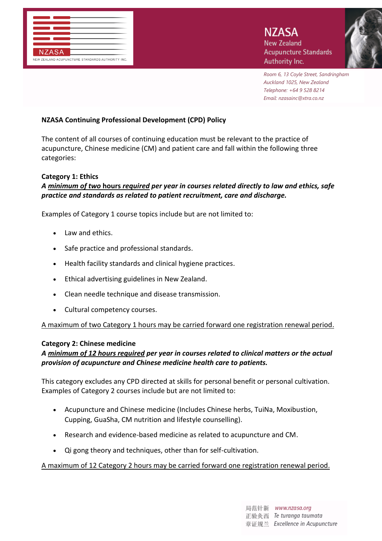

*Room 6, 13 Coyle Street, Sandringham Auckland 1025, New Zealand Telephone: +64 9 528 8214 Email: nzasainc@xtra.co.nz*

### **NZASA Continuing Professional Development (CPD) Policy**

The content of all courses of continuing education must be relevant to the practice of acupuncture, Chinese medicine (CM) and patient care and fall within the following three categories:

#### **Category 1: Ethics**

## *A minimum of two* **hours** *required per year in courses related directly to law and ethics, safe practice and standards as related to patient recruitment, care and discharge.*

Examples of Category 1 course topics include but are not limited to:

- Law and ethics.
- Safe practice and professional standards.
- Health facility standards and clinical hygiene practices.
- Ethical advertising guidelines in New Zealand.
- Clean needle technique and disease transmission.
- Cultural competency courses.

A maximum of two Category 1 hours may be carried forward one registration renewal period.

#### **Category 2: Chinese medicine**

## *A minimum of 12 hours required per year in courses related to clinical matters or the actual provision of acupuncture and Chinese medicine health care to patients.*

This category excludes any CPD directed at skills for personal benefit or personal cultivation. Examples of Category 2 courses include but are not limited to:

- Acupuncture and Chinese medicine (Includes Chinese herbs, TuiNa, Moxibustion, Cupping, GuaSha, CM nutrition and lifestyle counselling).
- Research and evidence-based medicine as related to acupuncture and CM.
- Qi gong theory and techniques, other than for self-cultivation.

#### A maximum of 12 Category 2 hours may be carried forward one registration renewal period.